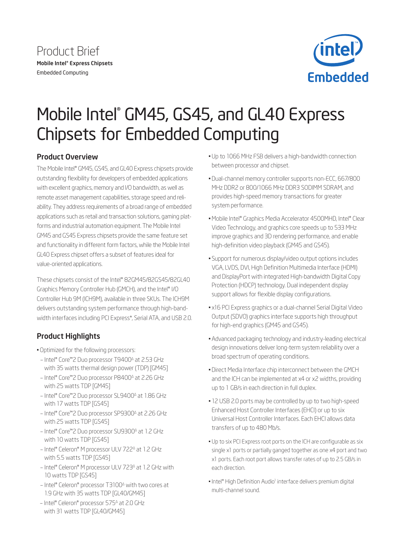



# Mobile Intel® GM45, GS45, and GL40 Express Chipsets for Embedded Computing

# Product Overview

The Mobile Intel® GM45, GS45, and GL40 Express chipsets provide outstanding flexibility for developers of embedded applications with excellent graphics, memory and I/O bandwidth, as well as remote asset management capabilities, storage speed and reliability. They address requirements of a broad range of embedded applications such as retail and transaction solutions, gaming platforms and industrial automation equipment. The Mobile Intel GM45 and GS45 Express chipsets provide the same feature set and functionality in different form factors, while the Mobile Intel GL40 Express chipset offers a subset of features ideal for value-oriented applications.

These chipsets consist of the Intel® 82GM45/82GS45/82GL40 Graphics Memory Controller Hub (GMCH), and the Intel® I/O Controller Hub 9M (ICH9M), available in three SKUs. The ICH9M delivers outstanding system performance through high-bandwidth interfaces including PCI Express\*, Serial ATA, and USB 2.0.

# Product Highlights

- • Optimized for the following processors:
- Intel® Core™2 Duo processor T9400<sup>∆</sup> at 2.53 GHz with 35 watts thermal design power (TDP) [GM45]
- Intel® Core™2 Duo processor P8400<sup>∆</sup> at 2.26 GHz with 25 watts TDP [GM45]
- Intel® Core™2 Duo processor SL9400<sup>∆</sup> at 1.86 GHz with 17 watts TDP [GS45]
- Intel® Core™2 Duo processor SP9300<sup>∆</sup> at 2.26 GHz with 25 watts TDP [GS45]
- Intel® Core™2 Duo processor SU9300<sup>∆</sup> at 1.2 GHz with 10 watts TDP [GS45]
- Intel® Celeron® M processor ULV 722<sup>∆</sup> at 1.2 GHz with 5.5 watts TDP [GS45]
- Intel® Celeron® M processor ULV 723<sup>∆</sup> at 1.2 GHz with 10 watts TDP [GS45]
- Intel® Celeron® processor T3100∆ with two cores at 1.9 GHz with 35 watts TDP [GL40/GM45]
- Intel® Celeron® processor 575<sup>∆</sup> at 2.0 GHz with 31 watts TDP [GL40/GM45]
- • Up to 1066 MHz FSB delivers a high-bandwidth connection between processor and chipset.
- • Dual-channel memory controller supports non-ECC, 667/800 MHz DDR2 or 800/1066 MHz DDR3 SODIMM SDRAM, and provides high-speed memory transactions for greater system performance.
- • Mobile Intel® Graphics Media Accelerator 4500MHD, Intel® Clear Video Technology, and graphics core speeds up to 533 MHz improve graphics and 3D rendering performance, and enable high-definition video playback (GM45 and GS45).
- • Support for numerous display/video output options includes VGA, LVDS, DVI, High Definition Multimedia Interface (HDMI) and DisplayPort with integrated High-bandwidth Digital Copy Protection (HDCP) technology. Dual independent display support allows for flexible display configurations.
- x16 PCI Express graphics or a dual-channel Serial Digital Video Output (SDVO) graphics interface supports high throughput for high-end graphics (GM45 and GS45).
- Advanced packaging technology and industry-leading electrical design innovations deliver long-term system reliability over a broad spectrum of operating conditions.
- · Direct Media Interface chip interconnect between the GMCH and the ICH can be implemented at x4 or x2 widths, providing up to 1 GB/s in each direction in full duplex.
- 12 USB 2.0 ports may be controlled by up to two high-speed Enhanced Host Controller Interfaces (EHCI) or up to six Universal Host Controller Interfaces. Each EHCI allows data transfers of up to 480 Mb/s.
- Up to six PCI Express root ports on the ICH are configurable as six single x1 ports or partially ganged together as one x4 port and two x1 ports. Each root port allows transfer rates of up to 2.5 GB/s in each direction.
- Intel® High Definition Audio<sup>1</sup> interface delivers premium digital multi-channel sound.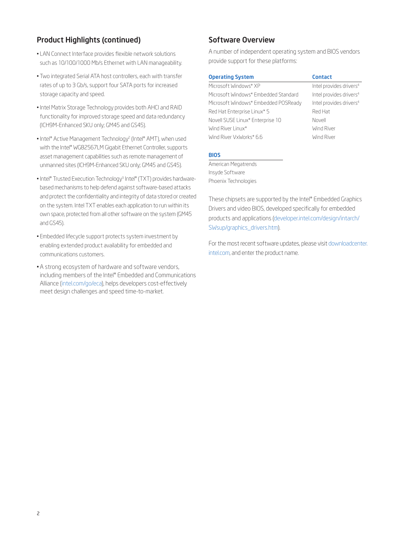## Product Highlights (continued)

- LAN Connect Interface provides flexible network solutions such as 10/100/1000 Mb/s Ethernet with LAN manageability.
- Two integrated Serial ATA host controllers, each with transfer rates of up to 3 Gb/s, support four SATA ports for increased storage capacity and speed.
- Intel Matrix Storage Technology provides both AHCI and RAID functionality for improved storage speed and data redundancy (ICH9M-Enhanced SKU only; GM45 and GS45).
- Intel® Active Management Technology<sup>2</sup> (Intel® AMT), when used with the Intel® WG82567LM Gigabit Ethernet Controller, supports asset management capabilities such as remote management of unmanned sites (ICH9M-Enhanced SKU only; GM45 and GS45).
- Intel® Trusted Execution Technology<sup>3</sup> Intel® (TXT) provides hardwarebased mechanisms to help defend against software-based attacks and protect the confidentiality and integrity of data stored or created on the system. Intel TXT enables each application to run within its own space, protected from all other software on the system (GM45 and GS45).
- • Embedded lifecycle support protects system investment by enabling extended product availability for embedded and communications customers.
- A strong ecosystem of hardware and software vendors, including members of the Intel® Embedded and Communications Alliance [\(intel.com/go/eca](http://intel.com/go/eca)), helps developers cost-effectively meet design challenges and speed time-to-market.

### Software Overview

A number of independent operating system and BIOS vendors provide support for these platforms:

| <b>Operating System</b>              | <b>Contact</b>                      |
|--------------------------------------|-------------------------------------|
| Microsoft Windows* XP                | Intel provides drivers <sup>4</sup> |
| Microsoft Windows* Embedded Standard | Intel provides drivers <sup>4</sup> |
| Microsoft Windows* Embedded POSReady | Intel provides drivers <sup>4</sup> |
| Red Hat Enterprise Linux* 5          | Red Hat                             |
| Novell SUSE Linux* Enterprise 10     | Novell                              |
| Wind River Linux*                    | Wind River                          |
| Wind River VxWorks* 6.6              | Wind River                          |
|                                      |                                     |

#### BIOS

American Megatrends Insyde Software Phoenix Technologies

These chipsets are supported by the Intel® Embedded Graphics Drivers and video BIOS, developed specifically for embedded products and applications [\(developer.intel.com/design/intarch/](http://developer.intel.com/design/intarch/SWsup/graphics_drivers.htm) [SWsup/graphics\\_drivers.htm\)](http://developer.intel.com/design/intarch/SWsup/graphics_drivers.htm).

For the most recent software updates, please visit [downloadcenter.](http://downloadcenter.intel.com) [intel.com,](http://downloadcenter.intel.com) and enter the product name.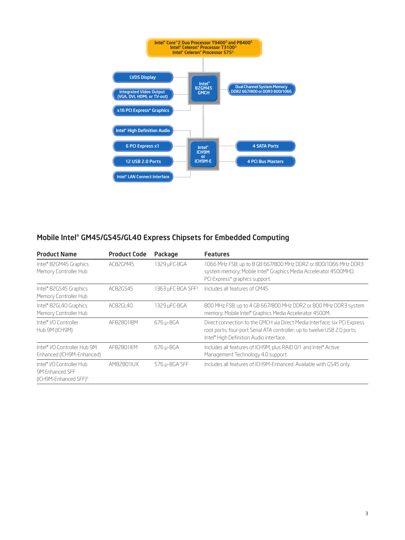

# Mobile Intel® GM45/GS45/GL40 Express Chipsets for Embedded Computing

| <b>Product Name</b>                                                               | <b>Product Code</b> | Package                       | <b>Features</b>                                                                                                                                                                                              |
|-----------------------------------------------------------------------------------|---------------------|-------------------------------|--------------------------------------------------------------------------------------------------------------------------------------------------------------------------------------------------------------|
| Intel® 82GM45 Graphics<br>Memory Controller Hub                                   | AC82GM45            | 1329 µFC-BGA                  | 1066 MHz FSB; up to 8 GB 667/800 MHz DDR2 or 800/1066 MHz DDR3<br>system memory; Mobile Intel® Graphics Media Accelerator 4500MHD;<br>PCI Express* graphics support.                                         |
| Intel® 82GS45 Graphics<br>Memory Controller Hub                                   | AC82GS45            | 1363 µFC-BGA SFF <sup>5</sup> | Includes all features of GM45.                                                                                                                                                                               |
| Intel® 82GL40 Graphics<br>Memory Controller Hub                                   | AC82GL40            | 1329 µFC-BGA                  | 800 MHz FSB; up to 4 GB 667/800 MHz DDR2 or 800 MHz DDR3 system<br>memory; Mobile Intel® Graphics Media Accelerator 4500M.                                                                                   |
| Intel® I/O Controller<br>Hub 9M (ICH9M)                                           | AF82801IBM          | 676 µ-BGA                     | Direct connection to the GMCH via Direct Media Interface; six PCI Express<br>root ports; four-port Serial ATA controller; up to twelve USB 2.0 ports;<br>Intel <sup>®</sup> High Definition Audio interface. |
| Intel® I/O Controller Hub 9M<br>Enhanced (ICH9M-Enhanced)                         | AF82801IFM          | 676 µ-BGA                     | Includes all features of ICH9M, plus RAID 0/1 and Intel® Active<br>Management Technology 4.0 support.                                                                                                        |
| Intel® I/O Controller Hub<br>9M Enhanced SFF<br>(ICH9M-Enhanced SFF) <sup>5</sup> | AM82801IUX          | 576 µ-BGA SFF                 | Includes all features of ICH9M-Enhanced. Available with GS45 only.                                                                                                                                           |